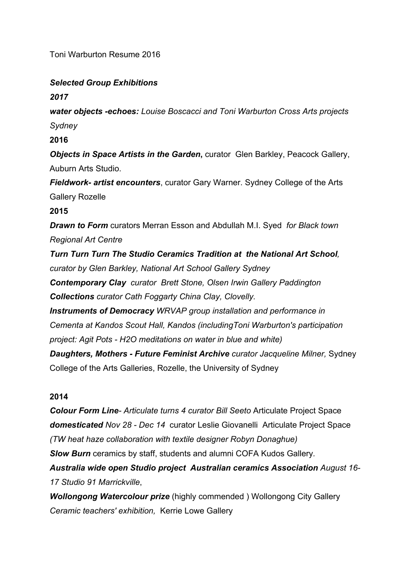Toni Warburton Resume 2016

# *Selected Group Exhibitions*

*2017*

*water objects -echoes: Louise Boscacci and Toni Warburton Cross Arts projects Sydney* 

### **2016**

*Objects in Space Artists in the Garden*, curator Glen Barkley, Peacock Gallery, Auburn Arts Studio.

*Fieldwork- artist encounters*, curator Gary Warner. Sydney College of the Arts Gallery Rozelle

#### **2015**

*Drawn to Form* curators Merran Esson and Abdullah M.I. Syed*for Black town Regional Art Centre*

*Turn Turn Turn The Studio Ceramics Tradition at the National Art School, curator by Glen Barkley, National Art School Gallery Sydney* 

*Contemporary Clay curator Brett Stone, Olsen Irwin Gallery Paddington Collections curator Cath Foggarty China Clay, Clovelly.*

*Instruments of Democracy WRVAP group installation and performance in Cementa at Kandos Scout Hall, Kandos (includingToni Warburton's participation project: Agit Pots - H2O meditations on water in blue and white)* 

*Daughters, Mothers - Future Feminist Archive curator Jacqueline Milner,* Sydney College of the Arts Galleries, Rozelle, the University of Sydney

#### **2014**

*Colour Form Line- Articulate turns 4 curator Bill Seeto* Articulate Project Space *domesticated Nov 28 - Dec 14* curator Leslie Giovanelli Articulate Project Space *(TW heat haze collaboration with textile designer Robyn Donaghue) Slow Burn* ceramics by staff, students and alumni COFA Kudos Gallery*. Australia wide open Studio project Australian ceramics Association August 16- 17 Studio 91 Marrickville*,

*Wollongong Watercolour prize* (highly commended ) Wollongong City Gallery *Ceramic teachers' exhibition,* Kerrie Lowe Gallery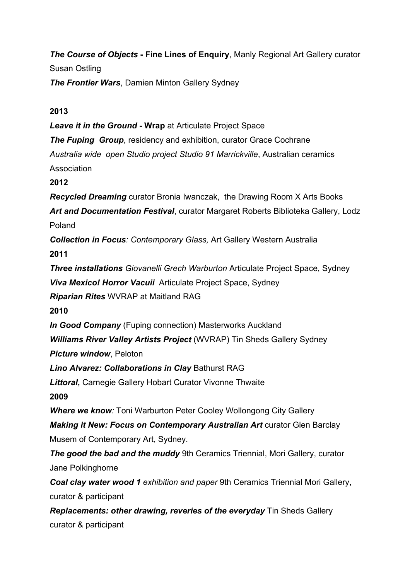*The Course of Objects* **- Fine Lines of Enquiry**, Manly Regional Art Gallery curator Susan Ostling *The Frontier Wars*, Damien Minton Gallery Sydney

**2013**

*Leave it in the Ground* **- Wrap** at Articulate Project Space *The Fuping Group, residency and exhibition, curator Grace Cochrane Australia wide open Studio project Studio 91 Marrickville*, Australian ceramics Association **2012**  *Recycled Dreaming* curator Bronia Iwanczak, the Drawing Room X Arts Books *Art and Documentation Festival*, curator Margaret Roberts Biblioteka Gallery, Lodz Poland *Collection in Focus: Contemporary Glass,* Art Gallery Western Australia **2011**  *Three installations Giovanelli Grech Warburton* Articulate Project Space, Sydney *Viva Mexico! Horror Vacuii* Articulate Project Space, Sydney *Riparian Rites* WVRAP at Maitland RAG **2010**  *In Good Company* (Fuping connection) Masterworks Auckland *Williams River Valley Artists Project* (WVRAP) Tin Sheds Gallery Sydney *Picture window*, Peloton *Lino Alvarez: Collaborations in Clay* Bathurst RAG *Littoral***,** Carnegie Gallery Hobart Curator Vivonne Thwaite **2009 Where we know:** Toni Warburton Peter Cooley Wollongong City Gallery *Making it New: Focus on Contemporary Australian Art* curator Glen Barclay Musem of Contemporary Art, Sydney. **The good the bad and the muddy** 9th Ceramics Triennial, Mori Gallery, curator Jane Polkinghorne *Coal clay water wood 1 exhibition and paper* 9th Ceramics Triennial Mori Gallery, curator & participant *Replacements: other drawing, reveries of the everyday* Tin Sheds Gallery

curator & participant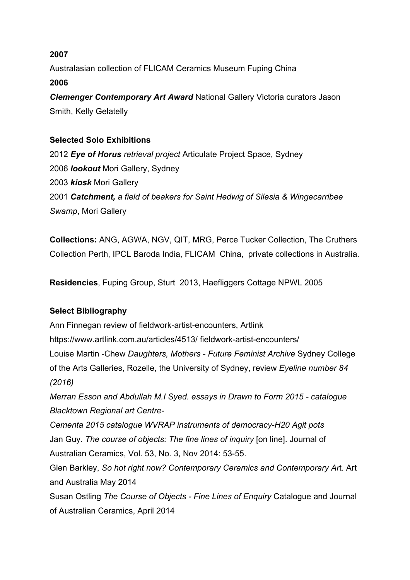### **2007**

Australasian collection of FLICAM Ceramics Museum Fuping China **2006** 

*Clemenger Contemporary Art Award* National Gallery Victoria curators Jason Smith, Kelly Gelatelly

# **Selected Solo Exhibitions**

*Eye of Horus retrieval project* Articulate Project Space, Sydney *lookout* Mori Gallery, Sydney *kiosk* Mori Gallery *Catchment, a field of beakers for Saint Hedwig of Silesia & Wingecarribee Swamp*, Mori Gallery

**Collections:** ANG, AGWA, NGV, QIT, MRG, Perce Tucker Collection, The Cruthers Collection Perth, IPCL Baroda India, FLICAM China, private collections in Australia.

**Residencies**, Fuping Group, Sturt 2013, Haefliggers Cottage NPWL 2005

# **Select Bibliography**

Ann Finnegan review of fieldwork-artist-encounters, Artlink https://www.artlink.com.au/articles/4513/ fieldwork-artist-encounters/ Louise Martin -Chew *Daughters, Mothers - Future Feminist Archive* Sydney College of the Arts Galleries, Rozelle, the University of Sydney, review *Eyeline number 84 (2016) Merran Esson and Abdullah M.I Syed. essays in Drawn to Form 2015 - catalogue Blacktown Regional art Centre-Cementa 2015 catalogue WVRAP instruments of democracy-H20 Agit pots*  Jan Guy. *The course of objects: The fine lines of inquiry* [on line]. Journal of Australian Ceramics, Vol. 53, No. 3, Nov 2014: 53-55. Glen Barkley, *So hot right now? Contemporary Ceramics and Contemporary Ar*t. Art and Australia May 2014

Susan Ostling *The Course of Objects - Fine Lines of Enquiry* Catalogue and Journal of Australian Ceramics, April 2014